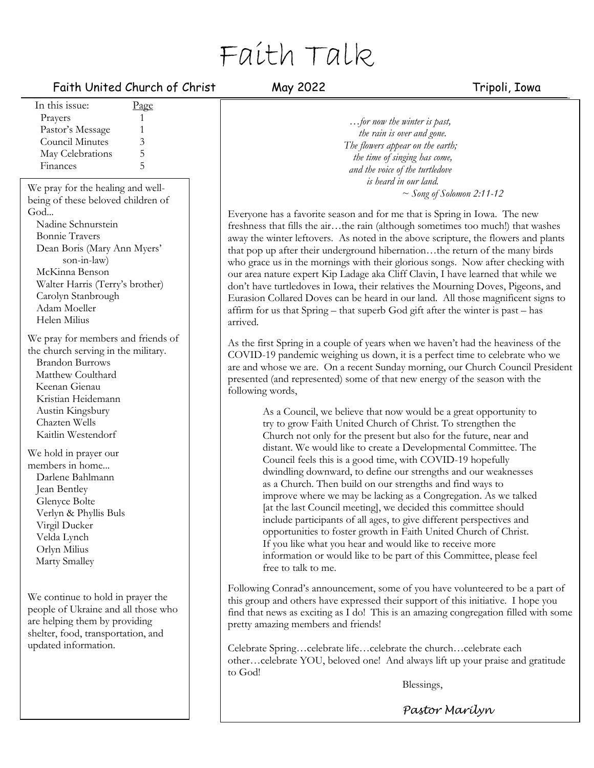# Faith Talk

# Faith United Church of Christ May 2022 Tripoli, Iowa

In this issue: Page Prayers 1 Pastor's Message 1 Council Minutes 3 May Celebrations 5<br>Finances 5 **Finances** We pray for the healing and wellbeing of these beloved children of God... Nadine Schnurstein Bonnie Travers Dean Boris (Mary Ann Myers' son-in-law) McKinna Benson Walter Harris (Terry's brother) Carolyn Stanbrough Adam Moeller Helen Milius We pray for members and friends of the church serving in the military. Brandon Burrows Matthew Coulthard Keenan Gienau Kristian Heidemann Austin Kingsbury Chazten Wells Kaitlin Westendorf We hold in prayer our members in home... Darlene Bahlmann Jean Bentley Glenyce Bolte Verlyn & Phyllis Buls Virgil Ducker Velda Lynch Orlyn Milius Marty Smalley We continue to hold in prayer the people of Ukraine and all those who

are helping them by providing shelter, food, transportation, and updated information.

*…for now the winter is past, the rain is over and gone. The flowers appear on the earth; the time of singing has come, and the voice of the turtledove is heard in our land. ~ Song of Solomon 2:11-12*

Everyone has a favorite season and for me that is Spring in Iowa. The new freshness that fills the air…the rain (although sometimes too much!) that washes away the winter leftovers. As noted in the above scripture, the flowers and plants that pop up after their underground hibernation…the return of the many birds who grace us in the mornings with their glorious songs. Now after checking with our area nature expert Kip Ladage aka Cliff Clavin, I have learned that while we don't have turtledoves in Iowa, their relatives the Mourning Doves, Pigeons, and Eurasion Collared Doves can be heard in our land. All those magnificent signs to affirm for us that Spring – that superb God gift after the winter is past – has arrived.

As the first Spring in a couple of years when we haven't had the heaviness of the COVID-19 pandemic weighing us down, it is a perfect time to celebrate who we are and whose we are. On a recent Sunday morning, our Church Council President presented (and represented) some of that new energy of the season with the following words,

As a Council, we believe that now would be a great opportunity to try to grow Faith United Church of Christ. To strengthen the Church not only for the present but also for the future, near and distant. We would like to create a Developmental Committee. The Council feels this is a good time, with COVID-19 hopefully dwindling downward, to define our strengths and our weaknesses as a Church. Then build on our strengths and find ways to improve where we may be lacking as a Congregation. As we talked [at the last Council meeting], we decided this committee should include participants of all ages, to give different perspectives and opportunities to foster growth in Faith United Church of Christ. If you like what you hear and would like to receive more information or would like to be part of this Committee, please feel free to talk to me.

Following Conrad's announcement, some of you have volunteered to be a part of this group and others have expressed their support of this initiative. I hope you find that news as exciting as I do! This is an amazing congregation filled with some pretty amazing members and friends!

Celebrate Spring…celebrate life…celebrate the church…celebrate each other…celebrate YOU, beloved one! And always lift up your praise and gratitude to God!

Blessings,

*Pastor Marilyn*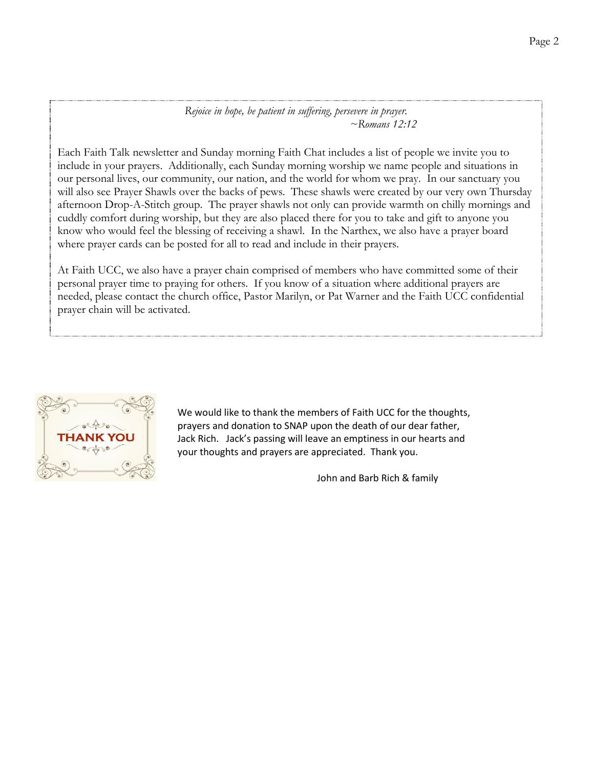### *Rejoice in hope, be patient in suffering, persevere in prayer. ~Romans 12:12*

Each Faith Talk newsletter and Sunday morning Faith Chat includes a list of people we invite you to include in your prayers. Additionally, each Sunday morning worship we name people and situations in our personal lives, our community, our nation, and the world for whom we pray. In our sanctuary you will also see Prayer Shawls over the backs of pews. These shawls were created by our very own Thursday afternoon Drop-A-Stitch group. The prayer shawls not only can provide warmth on chilly mornings and cuddly comfort during worship, but they are also placed there for you to take and gift to anyone you know who would feel the blessing of receiving a shawl. In the Narthex, we also have a prayer board where prayer cards can be posted for all to read and include in their prayers.

At Faith UCC, we also have a prayer chain comprised of members who have committed some of their personal prayer time to praying for others. If you know of a situation where additional prayers are needed, please contact the church office, Pastor Marilyn, or Pat Warner and the Faith UCC confidential prayer chain will be activated.



We would like to thank the members of Faith UCC for the thoughts, prayers and donation to SNAP upon the death of our dear father, Jack Rich. Jack's passing will leave an emptiness in our hearts and your thoughts and prayers are appreciated. Thank you.

John and Barb Rich & family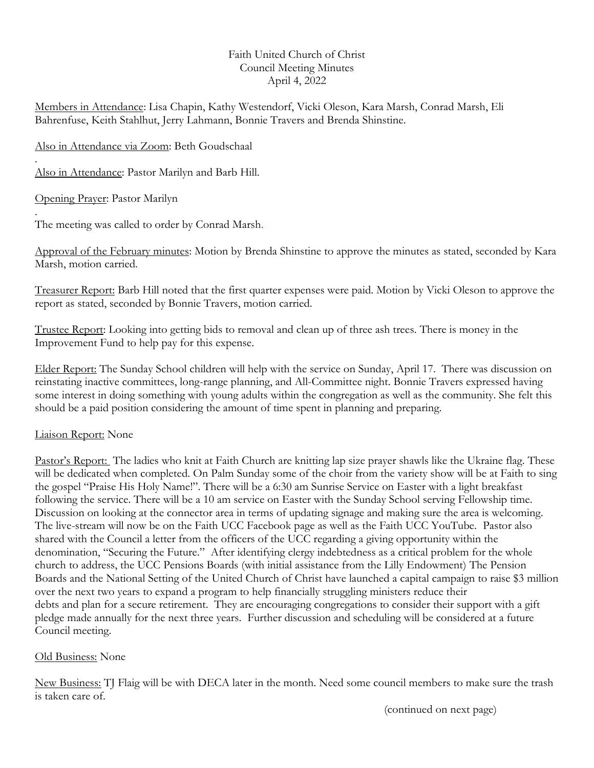# Faith United Church of Christ Council Meeting Minutes April 4, 2022

Members in Attendance: Lisa Chapin, Kathy Westendorf, Vicki Oleson, Kara Marsh, Conrad Marsh, Eli Bahrenfuse, Keith Stahlhut, Jerry Lahmann, Bonnie Travers and Brenda Shinstine.

Also in Attendance via Zoom: Beth Goudschaal

. Also in Attendance: Pastor Marilyn and Barb Hill.

Opening Prayer: Pastor Marilyn

. The meeting was called to order by Conrad Marsh.

Approval of the February minutes: Motion by Brenda Shinstine to approve the minutes as stated, seconded by Kara Marsh, motion carried.

Treasurer Report: Barb Hill noted that the first quarter expenses were paid. Motion by Vicki Oleson to approve the report as stated, seconded by Bonnie Travers, motion carried.

Trustee Report: Looking into getting bids to removal and clean up of three ash trees. There is money in the Improvement Fund to help pay for this expense.

Elder Report: The Sunday School children will help with the service on Sunday, April 17. There was discussion on reinstating inactive committees, long-range planning, and All-Committee night. Bonnie Travers expressed having some interest in doing something with young adults within the congregation as well as the community. She felt this should be a paid position considering the amount of time spent in planning and preparing.

# Liaison Report: None

Pastor's Report: The ladies who knit at Faith Church are knitting lap size prayer shawls like the Ukraine flag. These will be dedicated when completed. On Palm Sunday some of the choir from the variety show will be at Faith to sing the gospel "Praise His Holy Name!". There will be a 6:30 am Sunrise Service on Easter with a light breakfast following the service. There will be a 10 am service on Easter with the Sunday School serving Fellowship time. Discussion on looking at the connector area in terms of updating signage and making sure the area is welcoming. The live-stream will now be on the Faith UCC Facebook page as well as the Faith UCC YouTube. Pastor also shared with the Council a letter from the officers of the UCC regarding a giving opportunity within the denomination, "Securing the Future." After identifying clergy indebtedness as a critical problem for the whole church to address, the UCC Pensions Boards (with initial assistance from the Lilly Endowment) The Pension Boards and the National Setting of the United Church of Christ have launched a capital campaign to raise \$3 million over the next two years to expand a program to help financially struggling ministers reduce their debts and plan for a secure retirement. They are encouraging congregations to consider their support with a gift pledge made annually for the next three years. Further discussion and scheduling will be considered at a future Council meeting.

# Old Business: None

New Business: TJ Flaig will be with DECA later in the month. Need some council members to make sure the trash is taken care of.

(continued on next page)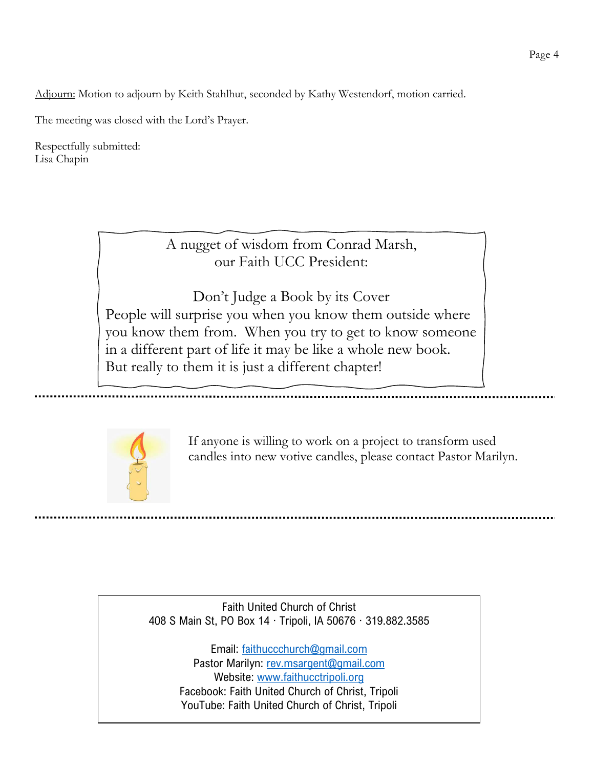Adjourn: Motion to adjourn by Keith Stahlhut, seconded by Kathy Westendorf, motion carried.

The meeting was closed with the Lord's Prayer.

Respectfully submitted: Lisa Chapin

> A nugget of wisdom from Conrad Marsh, our Faith UCC President:

Don't Judge a Book by its Cover People will surprise you when you know them outside where you know them from. When you try to get to know someone in a different part of life it may be like a whole new book. But really to them it is just a different chapter!

~ Conrad Marsh



If anyone is willing to work on a project to transform used candles into new votive candles, please contact Pastor Marilyn.

Faith United Church of Christ 408 S Main St, PO Box 14 ∙ Tripoli, IA 50676 ∙ 319.882.3585

> Email: [faithuccchurch@gmail.com](about:blank) Pastor Marilyn: [rev.msargent@gmail.com](about:blank) Website: [www.faithucctripoli.org](about:blank) Facebook: Faith United Church of Christ, Tripoli YouTube: Faith United Church of Christ, Tripoli